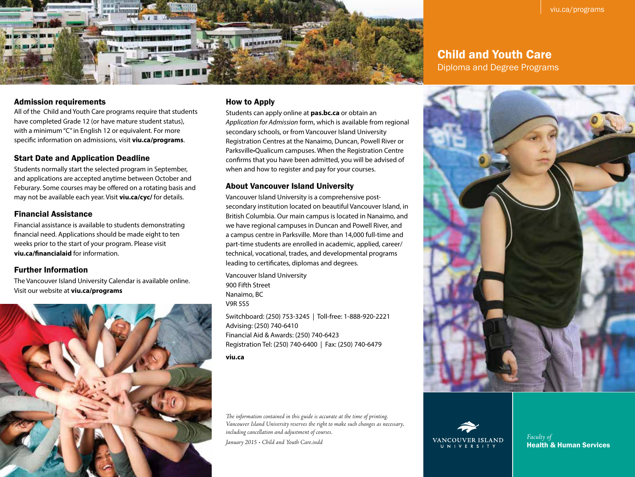

### Child and Youth Care

Diploma and Degree Programs

#### Admission requirements

All of the Child and Youth Care programs require that students have completed Grade 12 (or have mature student status), with a minimum "C" in English 12 or equivalent. For more specific information on admissions, visit **viu.ca/programs**.

#### Start Date and Application Deadline

Students normally start the selected program in September, and applications are accepted anytime between October and Feburary. Some courses may be offered on a rotating basis and may not be available each year. Visit **viu.ca/cyc/** for details.

#### Financial Assistance

Financial assistance is available to students demonstrating financial need. Applications should be made eight to ten weeks prior to the start of your program. Please visit **viu.ca/financialaid** for information.

#### Further Information

The Vancouver Island University Calendar is available online. Visit our website at **viu.ca/programs**



#### How to Apply

Students can apply online at **pas.bc.ca** or obtain an *Application for Admission* form, which is available from regional secondary schools, or from Vancouver Island University Registration Centres at the Nanaimo, Duncan, Powell River or Parksville•Qualicum campuses. When the Registration Centre confirms that you have been admitted, you will be advised of when and how to register and pay for your courses.

#### About Vancouver Island University

Vancouver Island University is a comprehensive postsecondary institution located on beautiful Vancouver Island, in British Columbia. Our main campus is located in Nanaimo, and we have regional campuses in Duncan and Powell River, and a campus centre in Parksville. More than 14,000 full-time and part-time students are enrolled in academic, applied, career/ technical, vocational, trades, and developmental programs leading to certificates, diplomas and degrees.

Vancouver Island University 900 Fifth Street Nanaimo, BC V9R 5S5

Switchboard: (250) 753-3245 | Toll-free: 1-888-920-2221 Advising: (250) 740-6410 Financial Aid & Awards: (250) 740-6423 Registration Tel: (250) 740-6400 | Fax: (250) 740-6479

**viu.ca**

*The information contained in this guide is accurate at the time of printing. Vancouver Island University reserves the right to make such changes as necessary, including cancellation and adjustment of courses.* 

*January 2015 • Child and Youth Care.indd*





*Faculty of* Health & Human Services